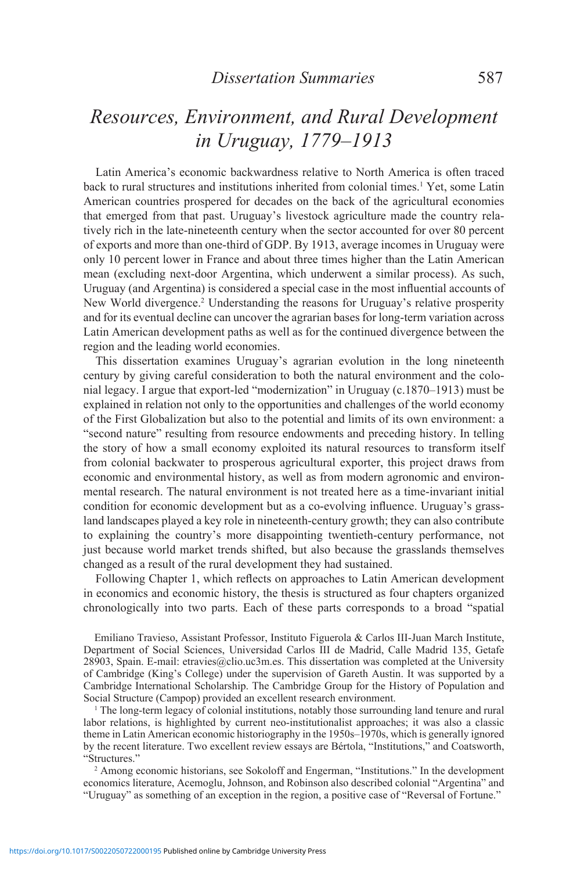# *Resources, Environment, and Rural Development in Uruguay, 1779–1913*

Latin America's economic backwardness relative to North America is often traced back to rural structures and institutions inherited from colonial times.<sup>1</sup> Yet, some Latin American countries prospered for decades on the back of the agricultural economies that emerged from that past. Uruguay's livestock agriculture made the country relatively rich in the late-nineteenth century when the sector accounted for over 80 percent of exports and more than one-third of GDP. By 1913, average incomes in Uruguay were only 10 percent lower in France and about three times higher than the Latin American mean (excluding next-door Argentina, which underwent a similar process). As such, Uruguay (and Argentina) is considered a special case in the most influential accounts of New World divergence.<sup>2</sup> Understanding the reasons for Uruguay's relative prosperity and for its eventual decline can uncover the agrarian bases for long-term variation across Latin American development paths as well as for the continued divergence between the region and the leading world economies.

This dissertation examines Uruguay's agrarian evolution in the long nineteenth century by giving careful consideration to both the natural environment and the colonial legacy. I argue that export-led "modernization" in Uruguay (c.1870–1913) must be explained in relation not only to the opportunities and challenges of the world economy of the First Globalization but also to the potential and limits of its own environment: a "second nature" resulting from resource endowments and preceding history. In telling the story of how a small economy exploited its natural resources to transform itself from colonial backwater to prosperous agricultural exporter, this project draws from economic and environmental history, as well as from modern agronomic and environmental research. The natural environment is not treated here as a time-invariant initial condition for economic development but as a co-evolving influence. Uruguay's grassland landscapes played a key role in nineteenth-century growth; they can also contribute to explaining the country's more disappointing twentieth-century performance, not just because world market trends shifted, but also because the grasslands themselves changed as a result of the rural development they had sustained.

Following Chapter 1, which reflects on approaches to Latin American development in economics and economic history, the thesis is structured as four chapters organized chronologically into two parts. Each of these parts corresponds to a broad "spatial

Emiliano Travieso, Assistant Professor, Instituto Figuerola & Carlos III-Juan March Institute, Department of Social Sciences, Universidad Carlos III de Madrid, Calle Madrid 135, Getafe 28903, Spain. E-mail: etravies@clio.uc3m.es. This dissertation was completed at the University of Cambridge (King's College) under the supervision of Gareth Austin. It was supported by a Cambridge International Scholarship. The Cambridge Group for the History of Population and Social Structure (Campop) provided an excellent research environment.

1 The long-term legacy of colonial institutions, notably those surrounding land tenure and rural labor relations, is highlighted by current neo-institutionalist approaches; it was also a classic theme in Latin American economic historiography in the 1950s–1970s, which is generally ignored by the recent literature. Two excellent review essays are Bértola, "Institutions," and Coatsworth, "Structures."

2 Among economic historians, see Sokoloff and Engerman, "Institutions." In the development economics literature, Acemoglu, Johnson, and Robinson also described colonial "Argentina" and "Uruguay" as something of an exception in the region, a positive case of "Reversal of Fortune."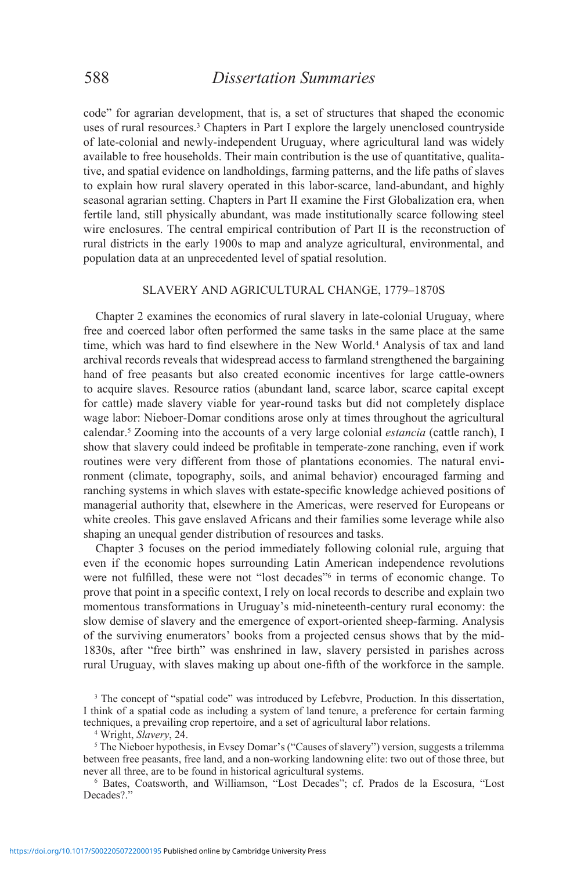code" for agrarian development, that is, a set of structures that shaped the economic uses of rural resources.3 Chapters in Part I explore the largely unenclosed countryside of late-colonial and newly-independent Uruguay, where agricultural land was widely available to free households. Their main contribution is the use of quantitative, qualitative, and spatial evidence on landholdings, farming patterns, and the life paths of slaves to explain how rural slavery operated in this labor-scarce, land-abundant, and highly seasonal agrarian setting. Chapters in Part II examine the First Globalization era, when fertile land, still physically abundant, was made institutionally scarce following steel wire enclosures. The central empirical contribution of Part II is the reconstruction of rural districts in the early 1900s to map and analyze agricultural, environmental, and population data at an unprecedented level of spatial resolution.

### SLAVERY AND AGRICULTURAL CHANGE, 1779–1870s

Chapter 2 examines the economics of rural slavery in late-colonial Uruguay, where free and coerced labor often performed the same tasks in the same place at the same time, which was hard to find elsewhere in the New World.<sup>4</sup> Analysis of tax and land archival records reveals that widespread access to farmland strengthened the bargaining hand of free peasants but also created economic incentives for large cattle-owners to acquire slaves. Resource ratios (abundant land, scarce labor, scarce capital except for cattle) made slavery viable for year-round tasks but did not completely displace wage labor: Nieboer-Domar conditions arose only at times throughout the agricultural calendar.<sup>5</sup> Zooming into the accounts of a very large colonial *estancia* (cattle ranch), I show that slavery could indeed be profitable in temperate-zone ranching, even if work routines were very different from those of plantations economies. The natural environment (climate, topography, soils, and animal behavior) encouraged farming and ranching systems in which slaves with estate-specific knowledge achieved positions of managerial authority that, elsewhere in the Americas, were reserved for Europeans or white creoles. This gave enslaved Africans and their families some leverage while also shaping an unequal gender distribution of resources and tasks.

Chapter 3 focuses on the period immediately following colonial rule, arguing that even if the economic hopes surrounding Latin American independence revolutions were not fulfilled, these were not "lost decades"<sup>6</sup> in terms of economic change. To prove that point in a specific context, I rely on local records to describe and explain two momentous transformations in Uruguay's mid-nineteenth-century rural economy: the slow demise of slavery and the emergence of export-oriented sheep-farming. Analysis of the surviving enumerators' books from a projected census shows that by the mid-1830s, after "free birth" was enshrined in law, slavery persisted in parishes across rural Uruguay, with slaves making up about one-fifth of the workforce in the sample.

<sup>3</sup> The concept of "spatial code" was introduced by Lefebvre, Production. In this dissertation, I think of a spatial code as including a system of land tenure, a preference for certain farming techniques, a prevailing crop repertoire, and a set of agricultural labor relations.

4 Wright, *Slavery*, 24.

5 The Nieboer hypothesis, in Evsey Domar's ("Causes of slavery") version, suggests a trilemma between free peasants, free land, and a non-working landowning elite: two out of those three, but never all three, are to be found in historical agricultural systems.

6 Bates, Coatsworth, and Williamson, "Lost Decades"; cf. Prados de la Escosura, "Lost Decades?."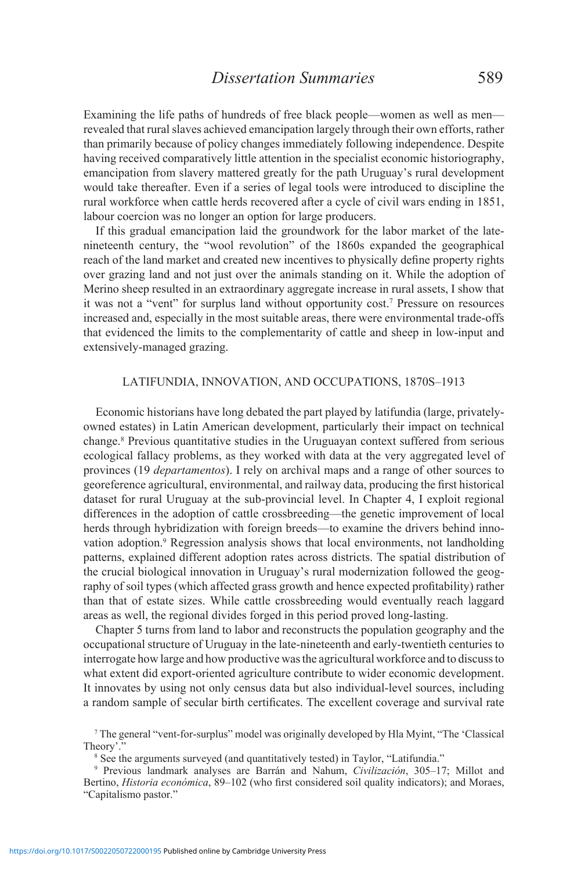## *Dissertation Summaries* 589

Examining the life paths of hundreds of free black people—women as well as men revealed that rural slaves achieved emancipation largely through their own efforts, rather than primarily because of policy changes immediately following independence. Despite having received comparatively little attention in the specialist economic historiography, emancipation from slavery mattered greatly for the path Uruguay's rural development would take thereafter. Even if a series of legal tools were introduced to discipline the rural workforce when cattle herds recovered after a cycle of civil wars ending in 1851, labour coercion was no longer an option for large producers.

If this gradual emancipation laid the groundwork for the labor market of the latenineteenth century, the "wool revolution" of the 1860s expanded the geographical reach of the land market and created new incentives to physically define property rights over grazing land and not just over the animals standing on it. While the adoption of Merino sheep resulted in an extraordinary aggregate increase in rural assets, I show that it was not a "vent" for surplus land without opportunity cost.<sup>7</sup> Pressure on resources increased and, especially in the most suitable areas, there were environmental trade-offs that evidenced the limits to the complementarity of cattle and sheep in low-input and extensively-managed grazing.

### LATIFUNDIA, INNOVATION, AND OCCUPATIONS, 1870s–1913

Economic historians have long debated the part played by latifundia (large, privatelyowned estates) in Latin American development, particularly their impact on technical change.<sup>8</sup> Previous quantitative studies in the Uruguayan context suffered from serious ecological fallacy problems, as they worked with data at the very aggregated level of provinces (19 *departamentos*). I rely on archival maps and a range of other sources to georeference agricultural, environmental, and railway data, producing the first historical dataset for rural Uruguay at the sub-provincial level. In Chapter 4, I exploit regional differences in the adoption of cattle crossbreeding—the genetic improvement of local herds through hybridization with foreign breeds—to examine the drivers behind innovation adoption.<sup>9</sup> Regression analysis shows that local environments, not landholding patterns, explained different adoption rates across districts. The spatial distribution of the crucial biological innovation in Uruguay's rural modernization followed the geography of soil types (which affected grass growth and hence expected profitability) rather than that of estate sizes. While cattle crossbreeding would eventually reach laggard areas as well, the regional divides forged in this period proved long-lasting.

Chapter 5 turns from land to labor and reconstructs the population geography and the occupational structure of Uruguay in the late-nineteenth and early-twentieth centuries to interrogate how large and how productive was the agricultural workforce and to discuss to what extent did export-oriented agriculture contribute to wider economic development. It innovates by using not only census data but also individual-level sources, including a random sample of secular birth certificates. The excellent coverage and survival rate

<sup>7</sup> The general "vent-for-surplus" model was originally developed by Hla Myint, "The 'Classical Theory'.

<sup>&</sup>lt;sup>8</sup> See the arguments surveyed (and quantitatively tested) in Taylor, "Latifundia."

<sup>9</sup> Previous landmark analyses are Barrán and Nahum, *Civilización*, 305–17; Millot and Bertino, *Historia económica*, 89–102 (who first considered soil quality indicators); and Moraes, "Capitalismo pastor."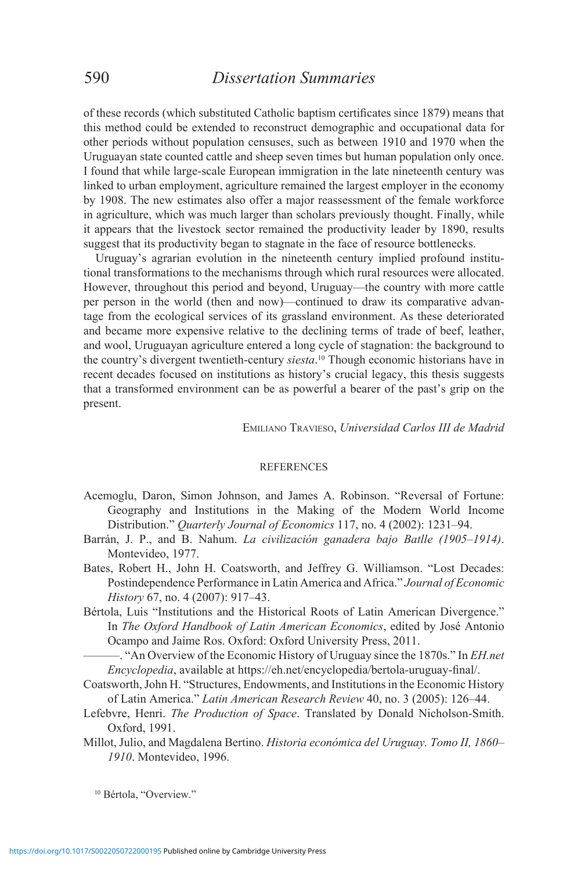of these records (which substituted Catholic baptism certificates since 1879) means that this method could be extended to reconstruct demographic and occupational data for other periods without population censuses, such as between 1910 and 1970 when the Uruguayan state counted cattle and sheep seven times but human population only once. I found that while large-scale European immigration in the late nineteenth century was linked to urban employment, agriculture remained the largest employer in the economy by 1908. The new estimates also offer a major reassessment of the female workforce in agriculture, which was much larger than scholars previously thought. Finally, while it appears that the livestock sector remained the productivity leader by 1890, results suggest that its productivity began to stagnate in the face of resource bottlenecks.

Uruguay's agrarian evolution in the nineteenth century implied profound institutional transformations to the mechanisms through which rural resources were allocated. However, throughout this period and beyond, Uruguay—the country with more cattle per person in the world (then and now)—continued to draw its comparative advantage from the ecological services of its grassland environment. As these deteriorated and became more expensive relative to the declining terms of trade of beef, leather, and wool, Uruguayan agriculture entered a long cycle of stagnation: the background to the country's divergent twentieth-century *siesta*. 10 Though economic historians have in recent decades focused on institutions as history's crucial legacy, this thesis suggests that a transformed environment can be as powerful a bearer of the past's grip on the present.

Emiliano Travieso, *Universidad Carlos III de Madrid*

#### REFERENCES

- Acemoglu, Daron, Simon Johnson, and James A. Robinson. "Reversal of Fortune: Geography and Institutions in the Making of the Modern World Income Distribution." *Quarterly Journal of Economics* 117, no. 4 (2002): 1231–94.
- Barrán, J. P., and B. Nahum. *La civilización ganadera bajo Batlle (1905–1914)*. Montevideo, 1977.
- Bates, Robert H., John H. Coatsworth, and Jeffrey G. Williamson. "Lost Decades: Postindependence Performance in Latin America and Africa." *Journal of Economic History* 67, no. 4 (2007): 917–43.
- Bértola, Luis "Institutions and the Historical Roots of Latin American Divergence." In *The Oxford Handbook of Latin American Economics*, edited by José Antonio Ocampo and Jaime Ros. Oxford: Oxford University Press, 2011.

———. "An Overview of the Economic History of Uruguay since the 1870s." In *EH.net Encyclopedia*, available at https://eh.net/encyclopedia/bertola-uruguay-final/.

- Coatsworth, John H. "Structures, Endowments, and Institutions in the Economic History of Latin America." *Latin American Research Review* 40, no. 3 (2005): 126–44.
- Lefebvre, Henri. *The Production of Space*. Translated by Donald Nicholson-Smith. Oxford, 1991.
- Millot, Julio, and Magdalena Bertino. *Historia económica del Uruguay. Tomo II, 1860– 1910*. Montevideo, 1996.

<sup>10</sup> Bértola, "Overview."